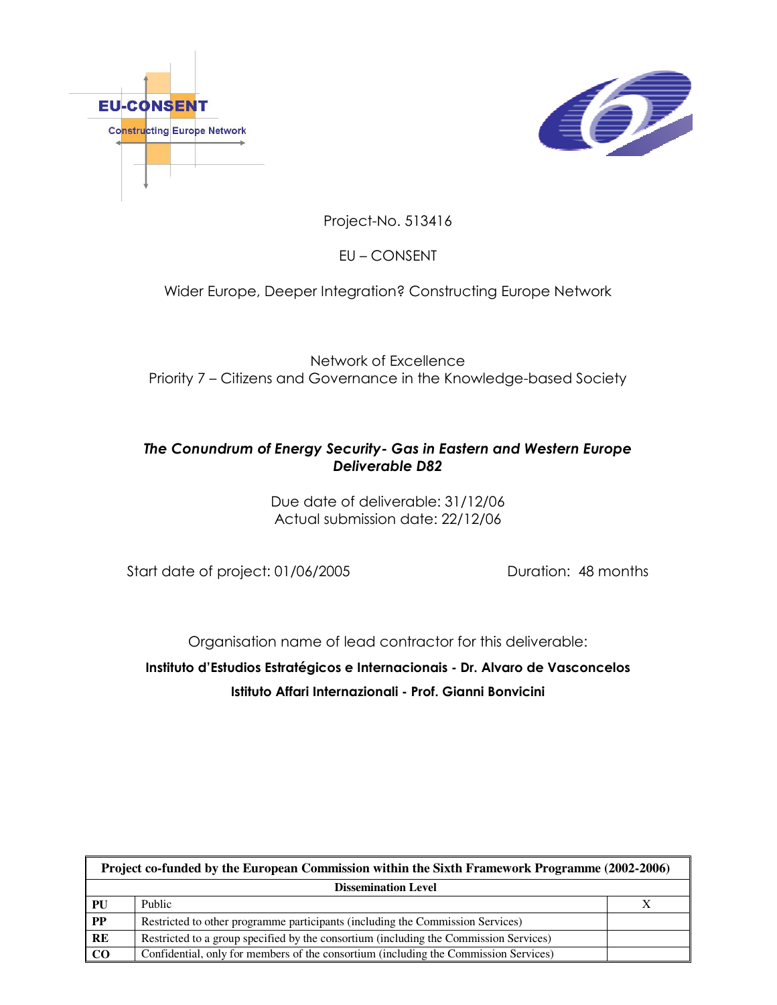



Project-No. 513416

EU – CONSENT

Wider Europe, Deeper Integration? Constructing Europe Network

Network of Excellence Priority 7 – Citizens and Governance in the Knowledge-based Society

# The Conundrum of Energy Security- Gas in Eastern and Western Europe Deliverable D82

Due date of deliverable: 31/12/06 Actual submission date: 22/12/06

"" '25
353455 " 287 /\$

Organisation name of lead contractor for this deliverable:

# Instituto d'Estudios Estratégicos e Internacionais - Dr. Alvaro de Vasconcelos Istituto Affari Internazionali - Prof. Gianni Bonvicini

| Project co-funded by the European Commission within the Sixth Framework Programme (2002-2006) |                                                                                       |  |
|-----------------------------------------------------------------------------------------------|---------------------------------------------------------------------------------------|--|
| <b>Dissemination Level</b>                                                                    |                                                                                       |  |
| PU                                                                                            | Public                                                                                |  |
| $\overline{\mathbf{PP}}$                                                                      | Restricted to other programme participants (including the Commission Services)        |  |
| $R_{\rm E}$                                                                                   | Restricted to a group specified by the consortium (including the Commission Services) |  |
| $ $ CO                                                                                        | Confidential, only for members of the consortium (including the Commission Services)  |  |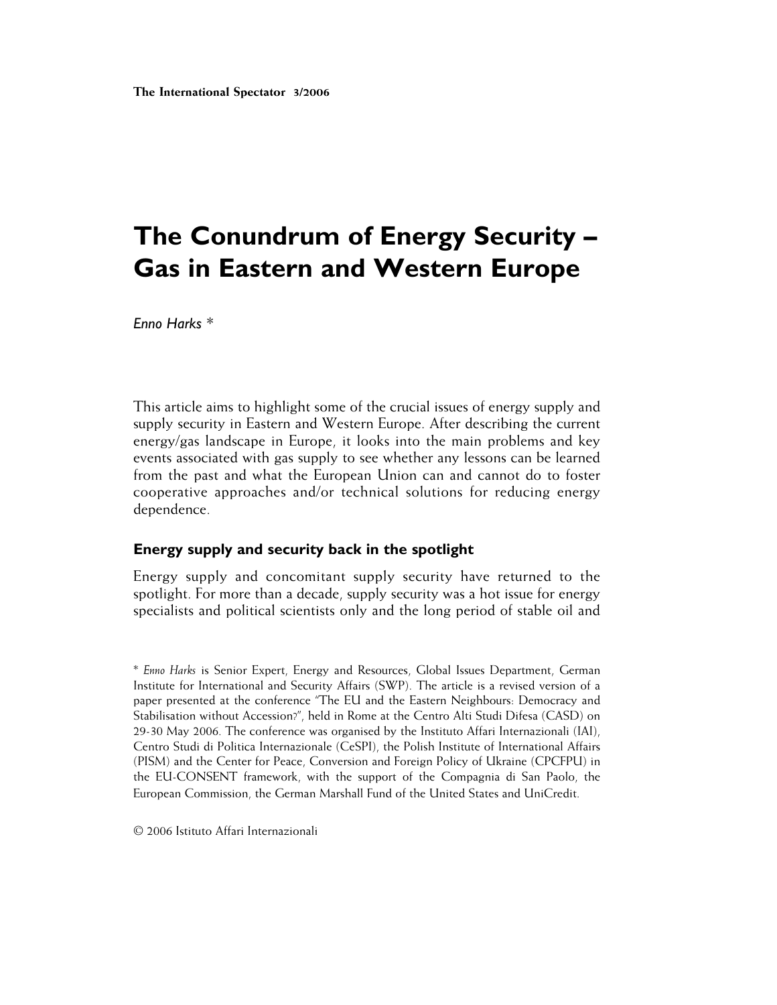*Enno Harks \**

This article aims to highlight some of the crucial issues of energy supply and supply security in Eastern and Western Europe. After describing the current energy/gas landscape in Europe, it looks into the main problems and key events associated with gas supply to see whether any lessons can be learned from the past and what the European Union can and cannot do to foster cooperative approaches and/or technical solutions for reducing energy dependence.

# **Energy supply and security back in the spotlight**

Energy supply and concomitant supply security have returned to the spotlight. For more than a decade, supply security was a hot issue for energy specialists and political scientists only and the long period of stable oil and

\* *Enno Harks* is Senior Expert, Energy and Resources, Global Issues Department, German Institute for International and Security Affairs (SWP). The article is a revised version of a paper presented at the conference "The EU and the Eastern Neighbours: Democracy and Stabilisation without Accession?î, held in Rome at the Centro Alti Studi Difesa (CASD) on 29-30 May 2006. The conference was organised by the Instituto Affari Internazionali (IAI), Centro Studi di Politica Internazionale (CeSPI), the Polish Institute of International Affairs (PISM) and the Center for Peace, Conversion and Foreign Policy of Ukraine (CPCFPU) in the EU-CONSENT framework, with the support of the Compagnia di San Paolo, the European Commission, the German Marshall Fund of the United States and UniCredit.

© 2006 Istituto Affari Internazionali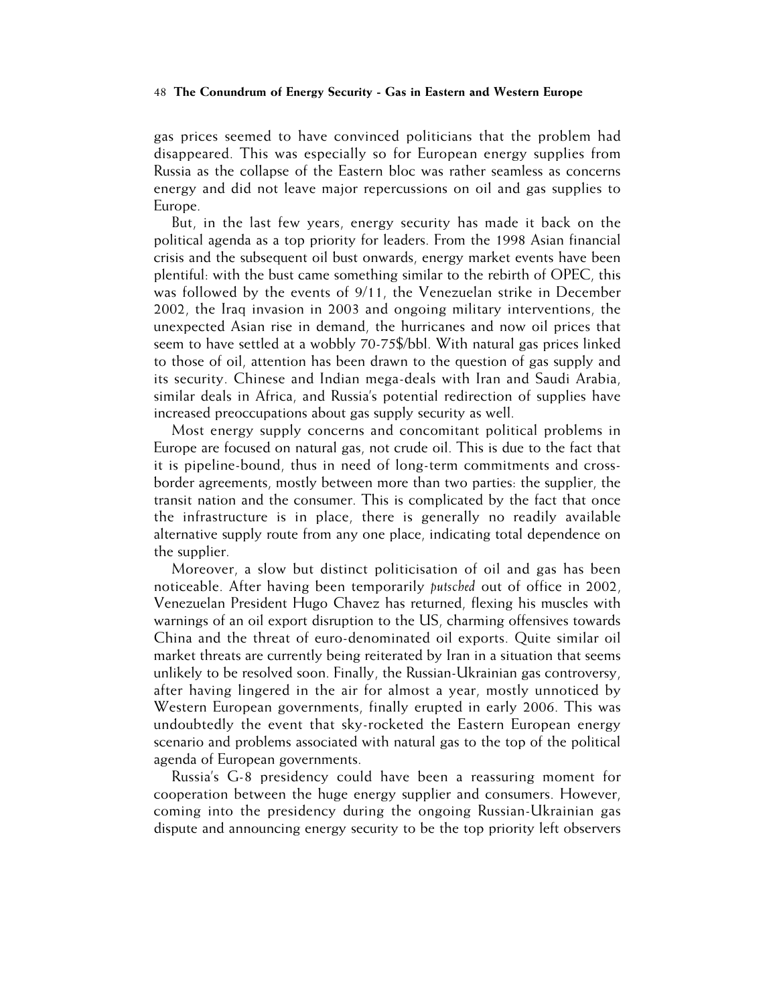gas prices seemed to have convinced politicians that the problem had disappeared. This was especially so for European energy supplies from Russia as the collapse of the Eastern bloc was rather seamless as concerns energy and did not leave major repercussions on oil and gas supplies to Europe.

But, in the last few years, energy security has made it back on the political agenda as a top priority for leaders. From the 1998 Asian financial crisis and the subsequent oil bust onwards, energy market events have been plentiful: with the bust came something similar to the rebirth of OPEC, this was followed by the events of 9/11, the Venezuelan strike in December 2002, the Iraq invasion in 2003 and ongoing military interventions, the unexpected Asian rise in demand, the hurricanes and now oil prices that seem to have settled at a wobbly 70-75\$/bbl. With natural gas prices linked to those of oil, attention has been drawn to the question of gas supply and its security. Chinese and Indian mega-deals with Iran and Saudi Arabia, similar deals in Africa, and Russia's potential redirection of supplies have increased preoccupations about gas supply security as well.

Most energy supply concerns and concomitant political problems in Europe are focused on natural gas, not crude oil. This is due to the fact that it is pipeline-bound, thus in need of long-term commitments and crossborder agreements, mostly between more than two parties: the supplier, the transit nation and the consumer. This is complicated by the fact that once the infrastructure is in place, there is generally no readily available alternative supply route from any one place, indicating total dependence on the supplier.

Moreover, a slow but distinct politicisation of oil and gas has been noticeable. After having been temporarily *putsched* out of office in 2002, Venezuelan President Hugo Chavez has returned, flexing his muscles with warnings of an oil export disruption to the US, charming offensives towards China and the threat of euro-denominated oil exports. Quite similar oil market threats are currently being reiterated by Iran in a situation that seems unlikely to be resolved soon. Finally, the Russian-Ukrainian gas controversy, after having lingered in the air for almost a year, mostly unnoticed by Western European governments, finally erupted in early 2006. This was undoubtedly the event that sky-rocketed the Eastern European energy scenario and problems associated with natural gas to the top of the political agenda of European governments.

Russiaís G-8 presidency could have been a reassuring moment for cooperation between the huge energy supplier and consumers. However, coming into the presidency during the ongoing Russian-Ukrainian gas dispute and announcing energy security to be the top priority left observers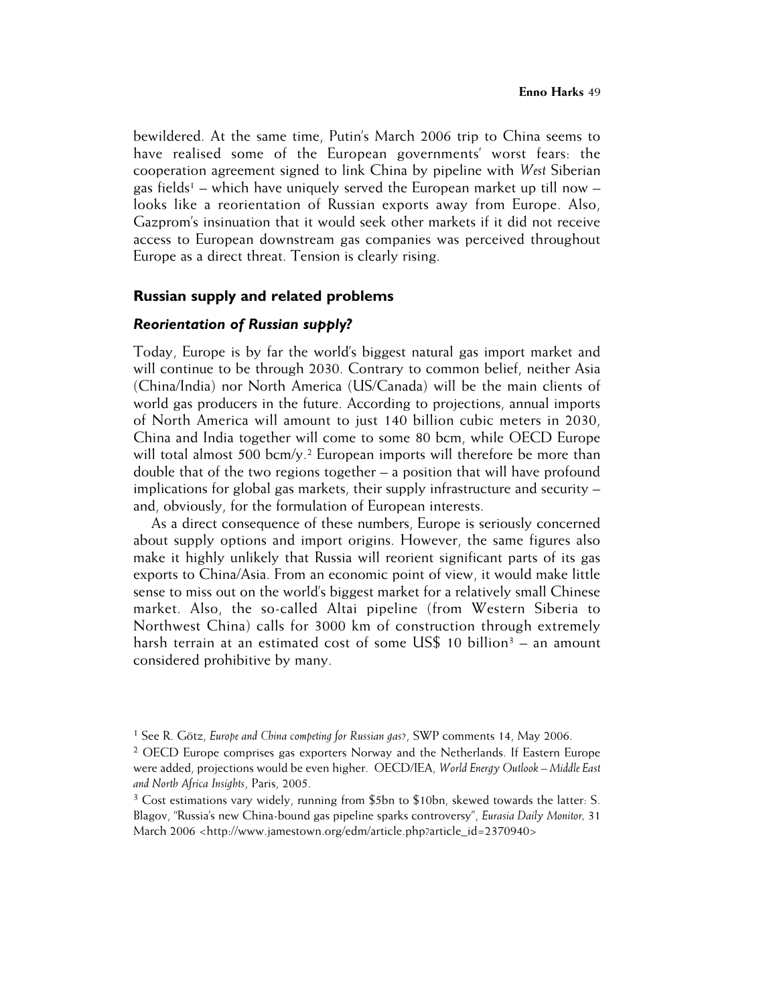bewildered. At the same time, Putinís March 2006 trip to China seems to have realised some of the European governments' worst fears: the cooperation agreement signed to link China by pipeline with *West* Siberian gas fields<sup>1</sup> – which have uniquely served the European market up till now – looks like a reorientation of Russian exports away from Europe. Also, Gazpromís insinuation that it would seek other markets if it did not receive access to European downstream gas companies was perceived throughout Europe as a direct threat. Tension is clearly rising.

# **Russian supply and related problems**

# *Reorientation of Russian supply?*

Today, Europe is by far the world's biggest natural gas import market and will continue to be through 2030. Contrary to common belief, neither Asia (China/India) nor North America (US/Canada) will be the main clients of world gas producers in the future. According to projections, annual imports of North America will amount to just 140 billion cubic meters in 2030, China and India together will come to some 80 bcm, while OECD Europe will total almost 500 bcm/y.<sup>2</sup> European imports will therefore be more than double that of the two regions together  $-\alpha$  position that will have profound implications for global gas markets, their supply infrastructure and security  $$ and, obviously, for the formulation of European interests.

As a direct consequence of these numbers, Europe is seriously concerned about supply options and import origins. However, the same figures also make it highly unlikely that Russia will reorient significant parts of its gas exports to China/Asia. From an economic point of view, it would make little sense to miss out on the world's biggest market for a relatively small Chinese market. Also, the so-called Altai pipeline (from Western Siberia to Northwest China) calls for 3000 km of construction through extremely harsh terrain at an estimated cost of some  $\text{USS}$  10 billion<sup>3</sup> – an amount considered prohibitive by many.

<sup>&</sup>lt;sup>1</sup> See R. Götz, *Europe and China competing for Russian gas?*, SWP comments 14, May 2006.

<sup>2</sup> OECD Europe comprises gas exporters Norway and the Netherlands. If Eastern Europe were added, projections would be even higher. OECD/IEA, World Energy Outlook - Middle East *and North Africa Insights*, Paris, 2005.

<sup>3</sup> Cost estimations vary widely, running from \$5bn to \$10bn, skewed towards the latter: S. Blagov, "Russia's new China-bound gas pipeline sparks controversy", *Eurasia Daily Monitor*, 31 March 2006 <http://www.jamestown.org/edm/article.php?article\_id=2370940>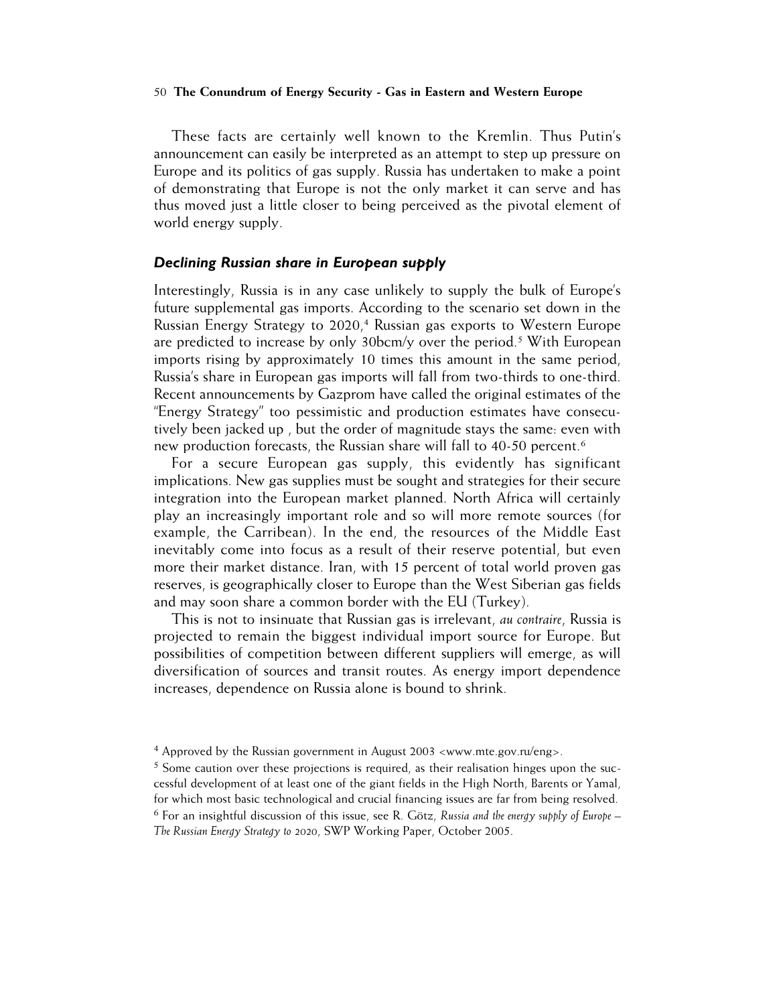These facts are certainly well known to the Kremlin. Thus Putinís announcement can easily be interpreted as an attempt to step up pressure on Europe and its politics of gas supply. Russia has undertaken to make a point of demonstrating that Europe is not the only market it can serve and has thus moved just a little closer to being perceived as the pivotal element of world energy supply.

# *Declining Russian share in European supply*

Interestingly, Russia is in any case unlikely to supply the bulk of Europe's future supplemental gas imports. According to the scenario set down in the Russian Energy Strategy to  $2020<sub>i</sub><sup>4</sup>$  Russian gas exports to Western Europe are predicted to increase by only  $30$ bcm/y over the period.<sup>5</sup> With European imports rising by approximately 10 times this amount in the same period, Russiaís share in European gas imports will fall from two-thirds to one-third. Recent announcements by Gazprom have called the original estimates of the "Energy Strategy" too pessimistic and production estimates have consecutively been jacked up , but the order of magnitude stays the same: even with new production forecasts, the Russian share will fall to 40-50 percent.<sup>6</sup>

For a secure European gas supply, this evidently has significant implications. New gas supplies must be sought and strategies for their secure integration into the European market planned. North Africa will certainly play an increasingly important role and so will more remote sources (for example, the Carribean). In the end, the resources of the Middle East inevitably come into focus as a result of their reserve potential, but even more their market distance. Iran, with 15 percent of total world proven gas reserves, is geographically closer to Europe than the West Siberian gas fields and may soon share a common border with the EU (Turkey).

This is not to insinuate that Russian gas is irrelevant, *au contraire*, Russia is projected to remain the biggest individual import source for Europe. But possibilities of competition between different suppliers will emerge, as will diversification of sources and transit routes. As energy import dependence increases, dependence on Russia alone is bound to shrink.

<sup>4</sup> Approved by the Russian government in August 2003 <www.mte.gov.ru/eng>.

<sup>&</sup>lt;sup>5</sup> Some caution over these projections is required, as their realisation hinges upon the successful development of at least one of the giant fields in the High North, Barents or Yamal, for which most basic technological and crucial financing issues are far from being resolved. <sup>6</sup> For an insightful discussion of this issue, see R. Götz, Russia and the energy supply of Europe -*The Russian Energy Strategy to 2020*, SWP Working Paper, October 2005.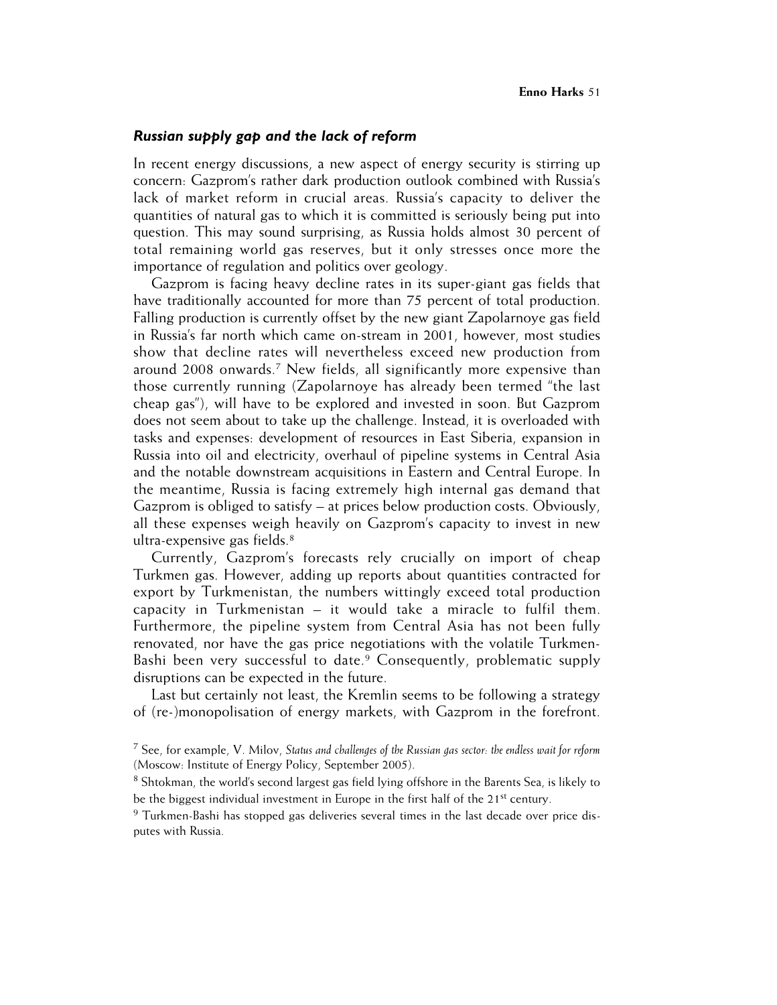# *Russian supply gap and the lack of reform*

In recent energy discussions, a new aspect of energy security is stirring up concern: Gazpromís rather dark production outlook combined with Russiaís lack of market reform in crucial areas. Russiaís capacity to deliver the quantities of natural gas to which it is committed is seriously being put into question. This may sound surprising, as Russia holds almost 30 percent of total remaining world gas reserves, but it only stresses once more the importance of regulation and politics over geology.

Gazprom is facing heavy decline rates in its super-giant gas fields that have traditionally accounted for more than 75 percent of total production. Falling production is currently offset by the new giant Zapolarnoye gas field in Russiaís far north which came on-stream in 2001, however, most studies show that decline rates will nevertheless exceed new production from around 2008 onwards.<sup>7</sup> New fields, all significantly more expensive than those currently running  $(Zapolarnove)$  has already been termed "the last cheap gasî), will have to be explored and invested in soon. But Gazprom does not seem about to take up the challenge. Instead, it is overloaded with tasks and expenses: development of resources in East Siberia, expansion in Russia into oil and electricity, overhaul of pipeline systems in Central Asia and the notable downstream acquisitions in Eastern and Central Europe. In the meantime, Russia is facing extremely high internal gas demand that Gazprom is obliged to satisfy  $-$  at prices below production costs. Obviously, all these expenses weigh heavily on Gazprom's capacity to invest in new ultra-expensive gas fields.<sup>8</sup>

Currently, Gazpromís forecasts rely crucially on import of cheap Turkmen gas. However, adding up reports about quantities contracted for export by Turkmenistan, the numbers wittingly exceed total production capacity in Turkmenistan  $-$  it would take a miracle to fulfil them. Furthermore, the pipeline system from Central Asia has not been fully renovated, nor have the gas price negotiations with the volatile Turkmen-Bashi been very successful to date.<sup>9</sup> Consequently, problematic supply disruptions can be expected in the future.

Last but certainly not least, the Kremlin seems to be following a strategy of (re-)monopolisation of energy markets, with Gazprom in the forefront.

<sup>7</sup> See, for example, V. Milov, *Status and challenges of the Russian gas sector: the endless wait for reform* (Moscow: Institute of Energy Policy, September 2005).

<sup>&</sup>lt;sup>8</sup> Shtokman, the world's second largest gas field lying offshore in the Barents Sea, is likely to be the biggest individual investment in Europe in the first half of the 21<sup>st</sup> century.

<sup>&</sup>lt;sup>9</sup> Turkmen-Bashi has stopped gas deliveries several times in the last decade over price disputes with Russia.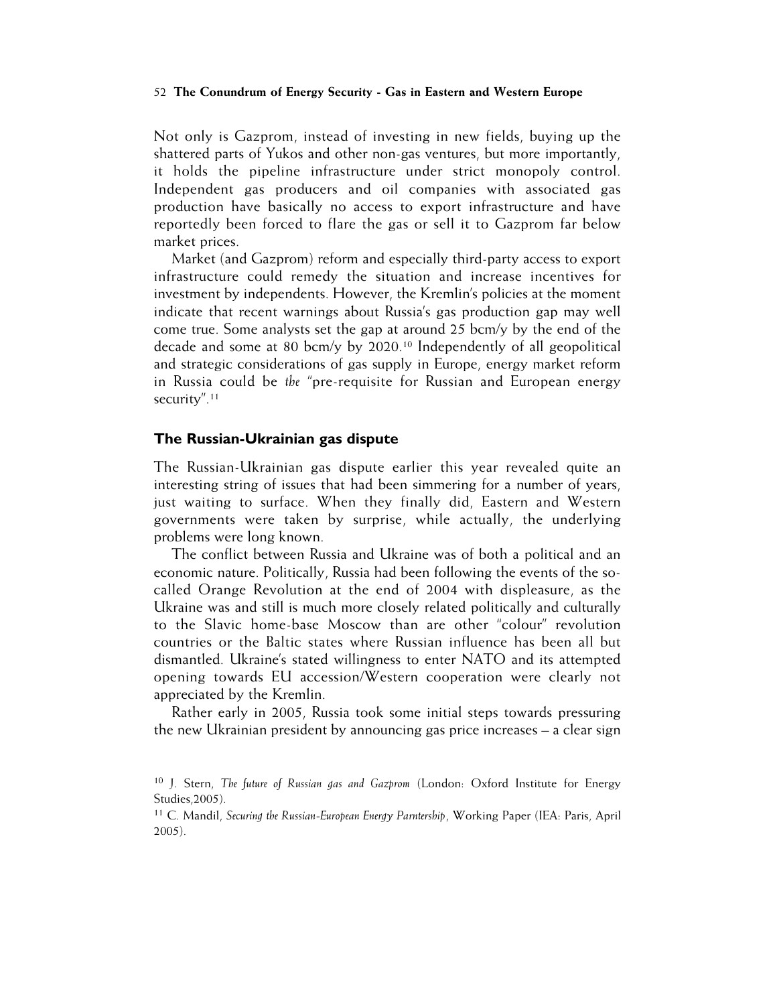Not only is Gazprom, instead of investing in new fields, buying up the shattered parts of Yukos and other non-gas ventures, but more importantly, it holds the pipeline infrastructure under strict monopoly control. Independent gas producers and oil companies with associated gas production have basically no access to export infrastructure and have reportedly been forced to flare the gas or sell it to Gazprom far below market prices.

Market (and Gazprom) reform and especially third-party access to export infrastructure could remedy the situation and increase incentives for investment by independents. However, the Kremlin's policies at the moment indicate that recent warnings about Russiaís gas production gap may well come true. Some analysts set the gap at around 25 bcm/y by the end of the decade and some at 80 bcm/y by 2020.<sup>10</sup> Independently of all geopolitical and strategic considerations of gas supply in Europe, energy market reform in Russia could be the "pre-requisite for Russian and European energy security $^{\prime\prime}$ .<sup>11</sup>

# **The Russian-Ukrainian gas dispute**

The Russian-Ukrainian gas dispute earlier this year revealed quite an interesting string of issues that had been simmering for a number of years, just waiting to surface. When they finally did, Eastern and Western governments were taken by surprise, while actually, the underlying problems were long known.

The conflict between Russia and Ukraine was of both a political and an economic nature. Politically, Russia had been following the events of the socalled Orange Revolution at the end of 2004 with displeasure, as the Ukraine was and still is much more closely related politically and culturally to the Slavic home-base Moscow than are other "colour" revolution countries or the Baltic states where Russian influence has been all but dismantled. Ukraineís stated willingness to enter NATO and its attempted opening towards EU accession/Western cooperation were clearly not appreciated by the Kremlin.

Rather early in 2005, Russia took some initial steps towards pressuring the new Ukrainian president by announcing gas price increases – a clear sign

<sup>10</sup> J. Stern, *The future of Russian gas and Gazprom* (London: Oxford Institute for Energy Studies,2005).

<sup>11</sup> C. Mandil, *Securing the Russian-European Energy Parntership*, Working Paper (IEA: Paris, April 2005).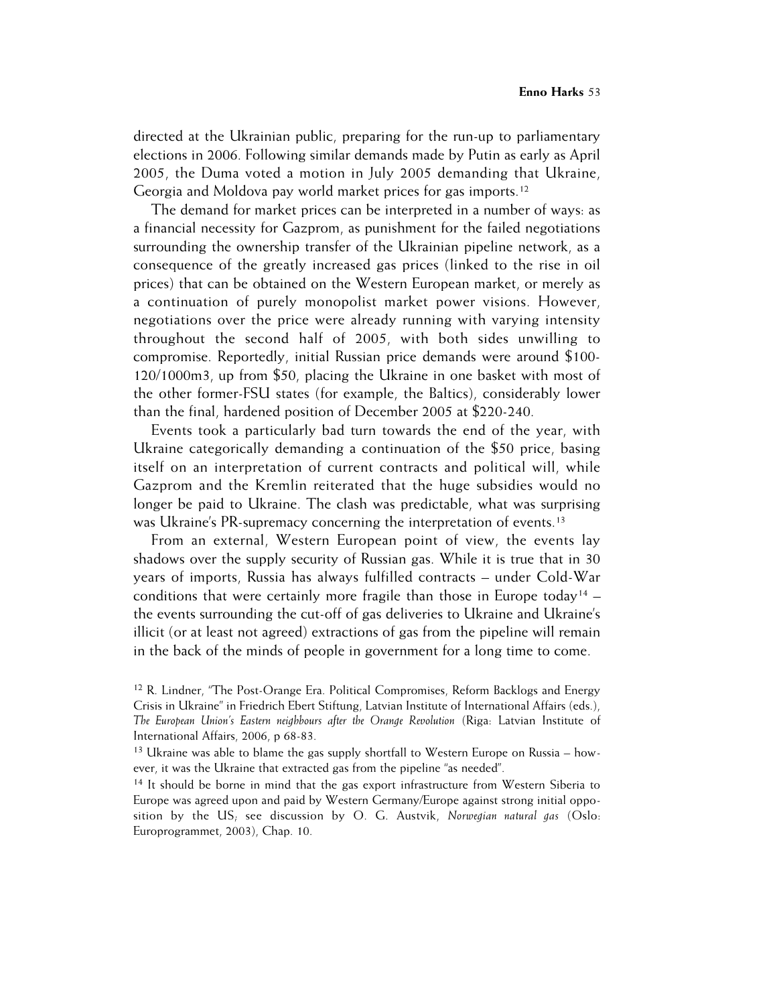directed at the Ukrainian public, preparing for the run-up to parliamentary elections in 2006. Following similar demands made by Putin as early as April 2005, the Duma voted a motion in July 2005 demanding that Ukraine, Georgia and Moldova pay world market prices for gas imports.<sup>12</sup>

The demand for market prices can be interpreted in a number of ways: as a financial necessity for Gazprom, as punishment for the failed negotiations surrounding the ownership transfer of the Ukrainian pipeline network, as a consequence of the greatly increased gas prices (linked to the rise in oil prices) that can be obtained on the Western European market, or merely as a continuation of purely monopolist market power visions. However, negotiations over the price were already running with varying intensity throughout the second half of 2005, with both sides unwilling to compromise. Reportedly, initial Russian price demands were around \$100- 120/1000m3, up from \$50, placing the Ukraine in one basket with most of the other former-FSU states (for example, the Baltics), considerably lower than the final, hardened position of December 2005 at \$220-240.

Events took a particularly bad turn towards the end of the year, with Ukraine categorically demanding a continuation of the \$50 price, basing itself on an interpretation of current contracts and political will, while Gazprom and the Kremlin reiterated that the huge subsidies would no longer be paid to Ukraine. The clash was predictable, what was surprising was Ukraine's PR-supremacy concerning the interpretation of events.<sup>13</sup>

From an external, Western European point of view, the events lay shadows over the supply security of Russian gas. While it is true that in 30 years of imports, Russia has always fulfilled contracts – under Cold-War conditions that were certainly more fragile than those in Europe today<sup>14</sup> – the events surrounding the cut-off of gas deliveries to Ukraine and Ukraineís illicit (or at least not agreed) extractions of gas from the pipeline will remain in the back of the minds of people in government for a long time to come.

<sup>14</sup> It should be borne in mind that the gas export infrastructure from Western Siberia to Europe was agreed upon and paid by Western Germany/Europe against strong initial opposition by the US; see discussion by O. G. Austvik, *Norwegian natural gas* (Oslo: Europrogrammet, 2003), Chap. 10.

<sup>&</sup>lt;sup>12</sup> R. Lindner, "The Post-Orange Era. Political Compromises, Reform Backlogs and Energy Crisis in Ukraine" in Friedrich Ebert Stiftung, Latvian Institute of International Affairs (eds.), *The European Unionís Eastern neighbours after the Orange Revolution* (Riga: Latvian Institute of International Affairs, 2006, p 68-83.

<sup>&</sup>lt;sup>13</sup> Ukraine was able to blame the gas supply shortfall to Western Europe on Russia – however, it was the Ukraine that extracted gas from the pipeline "as needed".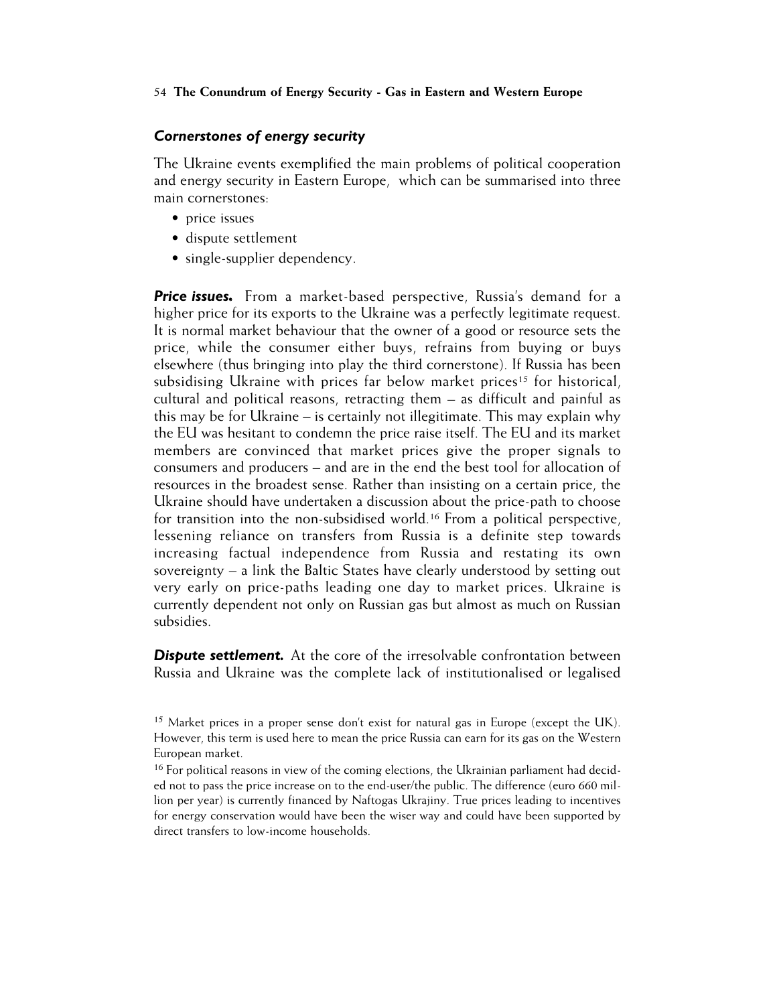# *Cornerstones of energy security*

The Ukraine events exemplified the main problems of political cooperation and energy security in Eastern Europe, which can be summarised into three main cornerstones:

- price issues
- dispute settlement
- single-supplier dependency.

**Price issues.** From a market-based perspective, Russia's demand for a higher price for its exports to the Ukraine was a perfectly legitimate request. It is normal market behaviour that the owner of a good or resource sets the price, while the consumer either buys, refrains from buying or buys elsewhere (thus bringing into play the third cornerstone). If Russia has been subsidising Ukraine with prices far below market prices<sup>15</sup> for historical, cultural and political reasons, retracting them – as difficult and painful as this may be for Ukraine  $-$  is certainly not illegitimate. This may explain why the EU was hesitant to condemn the price raise itself. The EU and its market members are convinced that market prices give the proper signals to consumers and producers – and are in the end the best tool for allocation of resources in the broadest sense. Rather than insisting on a certain price, the Ukraine should have undertaken a discussion about the price-path to choose for transition into the non-subsidised world.<sup>16</sup> From a political perspective, lessening reliance on transfers from Russia is a definite step towards increasing factual independence from Russia and restating its own sovereignty – a link the Baltic States have clearly understood by setting out very early on price-paths leading one day to market prices. Ukraine is currently dependent not only on Russian gas but almost as much on Russian subsidies.

*Dispute settlement.* At the core of the irresolvable confrontation between Russia and Ukraine was the complete lack of institutionalised or legalised

<sup>&</sup>lt;sup>15</sup> Market prices in a proper sense don't exist for natural gas in Europe (except the UK). However, this term is used here to mean the price Russia can earn for its gas on the Western European market.

 $16$  For political reasons in view of the coming elections, the Ukrainian parliament had decided not to pass the price increase on to the end-user/the public. The difference (euro 660 million per year) is currently financed by Naftogas Ukrajiny. True prices leading to incentives for energy conservation would have been the wiser way and could have been supported by direct transfers to low-income households.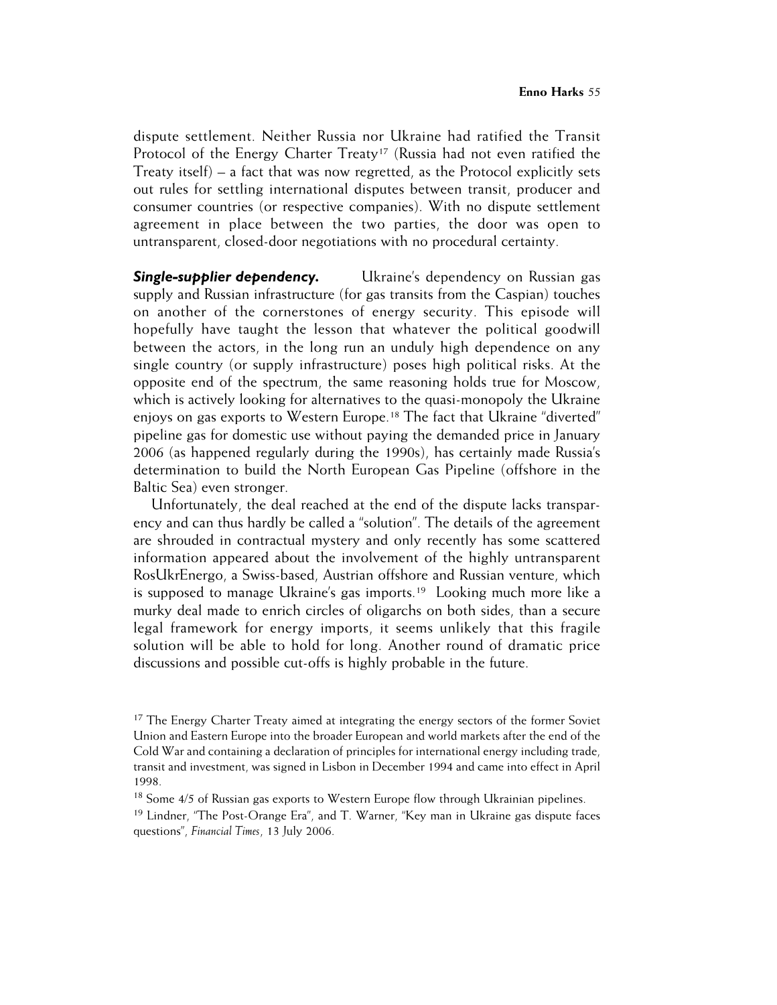dispute settlement. Neither Russia nor Ukraine had ratified the Transit Protocol of the Energy Charter Treaty<sup>17</sup> (Russia had not even ratified the Treaty itself)  $-$  a fact that was now regretted, as the Protocol explicitly sets out rules for settling international disputes between transit, producer and consumer countries (or respective companies). With no dispute settlement agreement in place between the two parties, the door was open to untransparent, closed-door negotiations with no procedural certainty.

**Single-supplier dependency.** Ukraine's dependency on Russian gas supply and Russian infrastructure (for gas transits from the Caspian) touches on another of the cornerstones of energy security. This episode will hopefully have taught the lesson that whatever the political goodwill between the actors, in the long run an unduly high dependence on any single country (or supply infrastructure) poses high political risks. At the opposite end of the spectrum, the same reasoning holds true for Moscow, which is actively looking for alternatives to the quasi-monopoly the Ukraine enjoys on gas exports to Western Europe.<sup>18</sup> The fact that Ukraine "diverted" pipeline gas for domestic use without paying the demanded price in January 2006 (as happened regularly during the 1990s), has certainly made Russiaís determination to build the North European Gas Pipeline (offshore in the Baltic Sea) even stronger.

Unfortunately, the deal reached at the end of the dispute lacks transparency and can thus hardly be called a "solution". The details of the agreement are shrouded in contractual mystery and only recently has some scattered information appeared about the involvement of the highly untransparent RosUkrEnergo, a Swiss-based, Austrian offshore and Russian venture, which is supposed to manage Ukraine's gas imports.<sup>19</sup> Looking much more like a murky deal made to enrich circles of oligarchs on both sides, than a secure legal framework for energy imports, it seems unlikely that this fragile solution will be able to hold for long. Another round of dramatic price discussions and possible cut-offs is highly probable in the future.

<sup>&</sup>lt;sup>17</sup> The Energy Charter Treaty aimed at integrating the energy sectors of the former Soviet Union and Eastern Europe into the broader European and world markets after the end of the Cold War and containing a declaration of principles for international energy including trade, transit and investment, was signed in Lisbon in December 1994 and came into effect in April 1998.

<sup>&</sup>lt;sup>18</sup> Some 4/5 of Russian gas exports to Western Europe flow through Ukrainian pipelines.

 $19$  Lindner, "The Post-Orange Era", and T. Warner, "Key man in Ukraine gas dispute faces questionsî, *Financial Times*, 13 July 2006.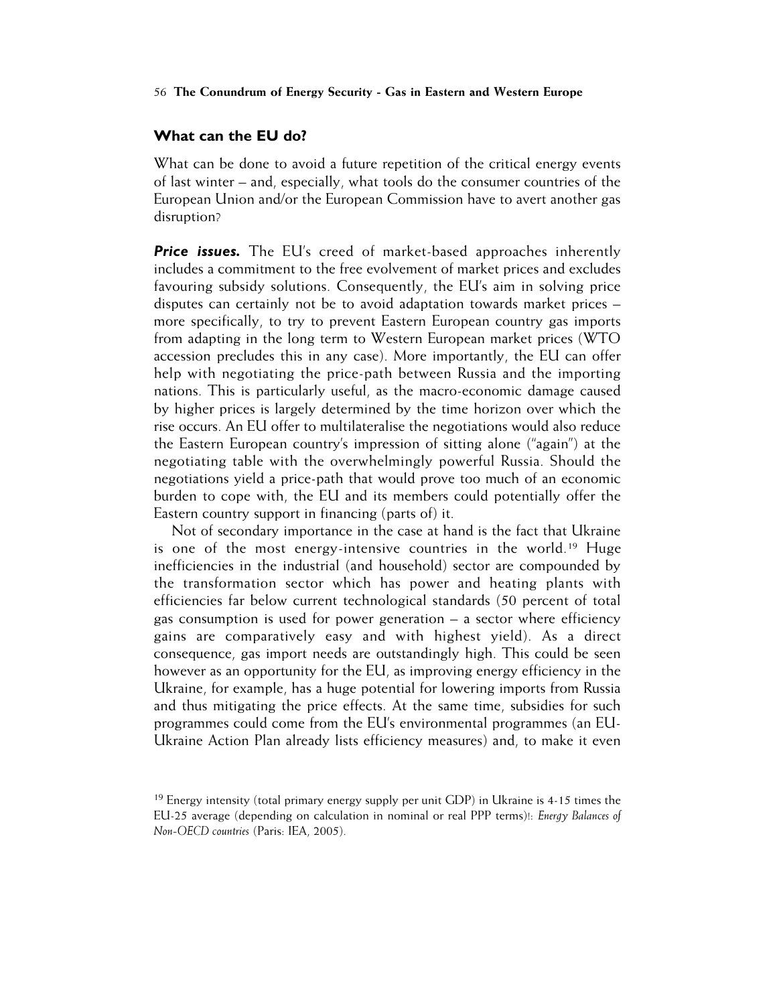# **What can the EU do?**

What can be done to avoid a future repetition of the critical energy events of last winter – and, especially, what tools do the consumer countries of the European Union and/or the European Commission have to avert another gas disruption?

**Price issues.** The EU's creed of market-based approaches inherently includes a commitment to the free evolvement of market prices and excludes favouring subsidy solutions. Consequently, the EU's aim in solving price disputes can certainly not be to avoid adaptation towards market prices  $$ more specifically, to try to prevent Eastern European country gas imports from adapting in the long term to Western European market prices (WTO accession precludes this in any case). More importantly, the EU can offer help with negotiating the price-path between Russia and the importing nations. This is particularly useful, as the macro-economic damage caused by higher prices is largely determined by the time horizon over which the rise occurs. An EU offer to multilateralise the negotiations would also reduce the Eastern European country's impression of sitting alone ("again") at the negotiating table with the overwhelmingly powerful Russia. Should the negotiations yield a price-path that would prove too much of an economic burden to cope with, the EU and its members could potentially offer the Eastern country support in financing (parts of) it.

Not of secondary importance in the case at hand is the fact that Ukraine is one of the most energy-intensive countries in the world.<sup>19</sup> Huge inefficiencies in the industrial (and household) sector are compounded by the transformation sector which has power and heating plants with efficiencies far below current technological standards (50 percent of total gas consumption is used for power generation  $-\alpha$  sector where efficiency gains are comparatively easy and with highest yield). As a direct consequence, gas import needs are outstandingly high. This could be seen however as an opportunity for the EU, as improving energy efficiency in the Ukraine, for example, has a huge potential for lowering imports from Russia and thus mitigating the price effects. At the same time, subsidies for such programmes could come from the EUís environmental programmes (an EU-Ukraine Action Plan already lists efficiency measures) and, to make it even

<sup>&</sup>lt;sup>19</sup> Energy intensity (total primary energy supply per unit GDP) in Ukraine is 4-15 times the EU-25 average (depending on calculation in nominal or real PPP terms)!: *Energy Balances of Non-OECD countries* (Paris: IEA, 2005).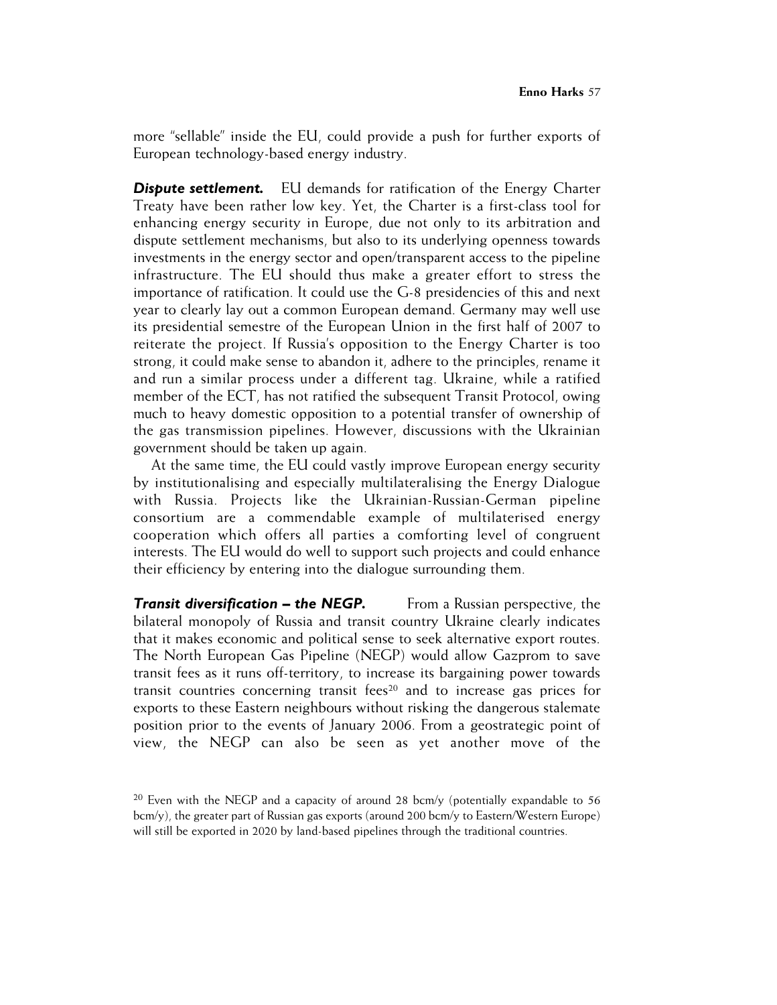more "sellable" inside the EU, could provide a push for further exports of European technology-based energy industry.

**Dispute settlement.** EU demands for ratification of the Energy Charter Treaty have been rather low key. Yet, the Charter is a first-class tool for enhancing energy security in Europe, due not only to its arbitration and dispute settlement mechanisms, but also to its underlying openness towards investments in the energy sector and open/transparent access to the pipeline infrastructure. The EU should thus make a greater effort to stress the importance of ratification. It could use the G-8 presidencies of this and next year to clearly lay out a common European demand. Germany may well use its presidential semestre of the European Union in the first half of 2007 to reiterate the project. If Russiaís opposition to the Energy Charter is too strong, it could make sense to abandon it, adhere to the principles, rename it and run a similar process under a different tag. Ukraine, while a ratified member of the ECT, has not ratified the subsequent Transit Protocol, owing much to heavy domestic opposition to a potential transfer of ownership of the gas transmission pipelines. However, discussions with the Ukrainian government should be taken up again.

At the same time, the EU could vastly improve European energy security by institutionalising and especially multilateralising the Energy Dialogue with Russia. Projects like the Ukrainian-Russian-German pipeline consortium are a commendable example of multilaterised energy cooperation which offers all parties a comforting level of congruent interests. The EU would do well to support such projects and could enhance their efficiency by entering into the dialogue surrounding them.

*Transit diversification – the NEGP.* From a Russian perspective, the bilateral monopoly of Russia and transit country Ukraine clearly indicates that it makes economic and political sense to seek alternative export routes. The North European Gas Pipeline (NEGP) would allow Gazprom to save transit fees as it runs off-territory, to increase its bargaining power towards transit countries concerning transit fees<sup>20</sup> and to increase gas prices for exports to these Eastern neighbours without risking the dangerous stalemate position prior to the events of January 2006. From a geostrategic point of view, the NEGP can also be seen as yet another move of the

<sup>&</sup>lt;sup>20</sup> Even with the NEGP and a capacity of around 28 bcm/y (potentially expandable to 56 bcm/y), the greater part of Russian gas exports (around 200 bcm/y to Eastern/Western Europe) will still be exported in 2020 by land-based pipelines through the traditional countries.